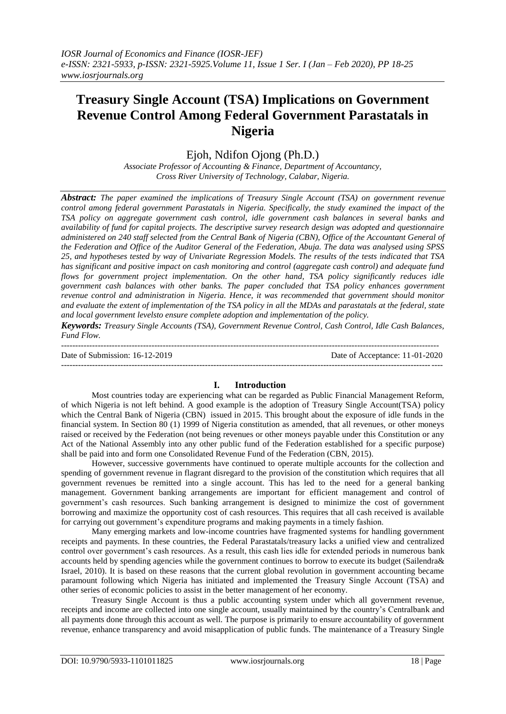# **Treasury Single Account (TSA) Implications on Government Revenue Control Among Federal Government Parastatals in Nigeria**

Ejoh, Ndifon Ojong (Ph.D.)

*Associate Professor of Accounting & Finance, Department of Accountancy, Cross River University of Technology, Calabar, Nigeria.*

*Abstract: The paper examined the implications of Treasury Single Account (TSA) on government revenue control among federal government Parastatals in Nigeria. Specifically, the study examined the impact of the TSA policy on aggregate government cash control, idle government cash balances in several banks and availability of fund for capital projects. The descriptive survey research design was adopted and questionnaire administered on 240 staff selected from the Central Bank of Nigeria (CBN), Office of the Accountant General of the Federation and Office of the Auditor General of the Federation, Abuja. The data was analysed using SPSS 25, and hypotheses tested by way of Univariate Regression Models. The results of the tests indicated that TSA has significant and positive impact on cash monitoring and control (aggregate cash control) and adequate fund flows for government project implementation. On the other hand, TSA policy significantly reduces idle government cash balances with other banks. The paper concluded that TSA policy enhances government revenue control and administration in Nigeria. Hence, it was recommended that government should monitor and evaluate the extent of implementation of the TSA policy in all the MDAs and parastatals at the federal, state and local government levelsto ensure complete adoption and implementation of the policy.*

*Keywords: Treasury Single Accounts (TSA), Government Revenue Control, Cash Control, Idle Cash Balances, Fund Flow.*

| Date of Submission: $16-12-2019$ | Date of Acceptance: 11-01-2020 |
|----------------------------------|--------------------------------|
|                                  |                                |

## **I. Introduction**

Most countries today are experiencing what can be regarded as Public Financial Management Reform, of which Nigeria is not left behind. A good example is the adoption of Treasury Single Account(TSA) policy which the Central Bank of Nigeria (CBN) issued in 2015. This brought about the exposure of idle funds in the financial system. In Section 80 (1) 1999 of Nigeria constitution as amended, that all revenues, or other moneys raised or received by the Federation (not being revenues or other moneys payable under this Constitution or any Act of the National Assembly into any other public fund of the Federation established for a specific purpose) shall be paid into and form one Consolidated Revenue Fund of the Federation (CBN, 2015).

However, successive governments have continued to operate multiple accounts for the collection and spending of government revenue in flagrant disregard to the provision of the constitution which requires that all government revenues be remitted into a single account. This has led to the need for a general banking management. Government banking arrangements are important for efficient management and control of government's cash resources. Such banking arrangement is designed to minimize the cost of government borrowing and maximize the opportunity cost of cash resources. This requires that all cash received is available for carrying out government's expenditure programs and making payments in a timely fashion.

Many emerging markets and low-income countries have fragmented systems for handling government receipts and payments. In these countries, the Federal Parastatals/treasury lacks a unified view and centralized control over government's cash resources. As a result, this cash lies idle for extended periods in numerous bank accounts held by spending agencies while the government continues to borrow to execute its budget (Sailendra& Israel, 2010). It is based on these reasons that the current global revolution in government accounting became paramount following which Nigeria has initiated and implemented the Treasury Single Account (TSA) and other series of economic policies to assist in the better management of her economy.

Treasury Single Account is thus a public accounting system under which all government revenue, receipts and income are collected into one single account, usually maintained by the country's Centralbank and all payments done through this account as well. The purpose is primarily to ensure accountability of government revenue, enhance transparency and avoid misapplication of public funds. The maintenance of a Treasury Single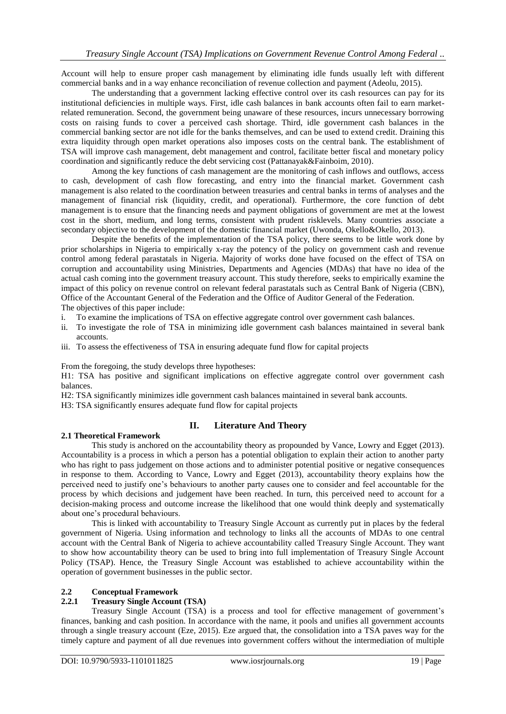Account will help to ensure proper cash management by eliminating idle funds usually left with different commercial banks and in a way enhance reconciliation of revenue collection and payment (Adeolu, 2015).

The understanding that a government lacking effective control over its cash resources can pay for its institutional deficiencies in multiple ways. First, idle cash balances in bank accounts often fail to earn marketrelated remuneration. Second, the government being unaware of these resources, incurs unnecessary borrowing costs on raising funds to cover a perceived cash shortage. Third, idle government cash balances in the commercial banking sector are not idle for the banks themselves, and can be used to extend credit. Draining this extra liquidity through open market operations also imposes costs on the central bank. The establishment of TSA will improve cash management, debt management and control, facilitate better fiscal and monetary policy coordination and significantly reduce the debt servicing cost (Pattanayak&Fainboim, 2010).

Among the key functions of cash management are the monitoring of cash inflows and outflows, access to cash, development of cash flow forecasting, and entry into the financial market. Government cash management is also related to the coordination between treasuries and central banks in terms of analyses and the management of financial risk (liquidity, credit, and operational). Furthermore, the core function of debt management is to ensure that the financing needs and payment obligations of government are met at the lowest cost in the short, medium, and long terms, consistent with prudent risklevels. Many countries associate a secondary objective to the development of the domestic financial market (Uwonda, Okello&Okello, 2013).

Despite the benefits of the implementation of the TSA policy, there seems to be little work done by prior scholarships in Nigeria to empirically x-ray the potency of the policy on government cash and revenue control among federal parastatals in Nigeria. Majority of works done have focused on the effect of TSA on corruption and accountability using Ministries, Departments and Agencies (MDAs) that have no idea of the actual cash coming into the government treasury account. This study therefore, seeks to empirically examine the impact of this policy on revenue control on relevant federal parastatals such as Central Bank of Nigeria (CBN), Office of the Accountant General of the Federation and the Office of Auditor General of the Federation. The objectives of this paper include:

- i. To examine the implications of TSA on effective aggregate control over government cash balances.
- ii. To investigate the role of TSA in minimizing idle government cash balances maintained in several bank accounts.
- iii. To assess the effectiveness of TSA in ensuring adequate fund flow for capital projects

From the foregoing, the study develops three hypotheses:

H1: TSA has positive and significant implications on effective aggregate control over government cash balances.

H2: TSA significantly minimizes idle government cash balances maintained in several bank accounts.

H3: TSA significantly ensures adequate fund flow for capital projects

## **2.1 Theoretical Framework**

## **II. Literature And Theory**

This study is anchored on the accountability theory as propounded by Vance, Lowry and Egget (2013). Accountability is a process in which a person has a potential obligation to explain their action to another party who has right to pass judgement on those actions and to administer potential positive or negative consequences in response to them. According to Vance, Lowry and Egget (2013), accountability theory explains how the perceived need to justify one's behaviours to another party causes one to consider and feel accountable for the process by which decisions and judgement have been reached. In turn, this perceived need to account for a decision-making process and outcome increase the likelihood that one would think deeply and systematically about one's procedural behaviours.

This is linked with accountability to Treasury Single Account as currently put in places by the federal government of Nigeria. Using information and technology to links all the accounts of MDAs to one central account with the Central Bank of Nigeria to achieve accountability called Treasury Single Account. They want to show how accountability theory can be used to bring into full implementation of Treasury Single Account Policy (TSAP). Hence, the Treasury Single Account was established to achieve accountability within the operation of government businesses in the public sector.

## **2.2 Conceptual Framework**

## **2.2.1 Treasury Single Account (TSA)**

Treasury Single Account (TSA) is a process and tool for effective management of government's finances, banking and cash position. In accordance with the name, it pools and unifies all government accounts through a single treasury account (Eze, 2015). Eze argued that, the consolidation into a TSA paves way for the timely capture and payment of all due revenues into government coffers without the intermediation of multiple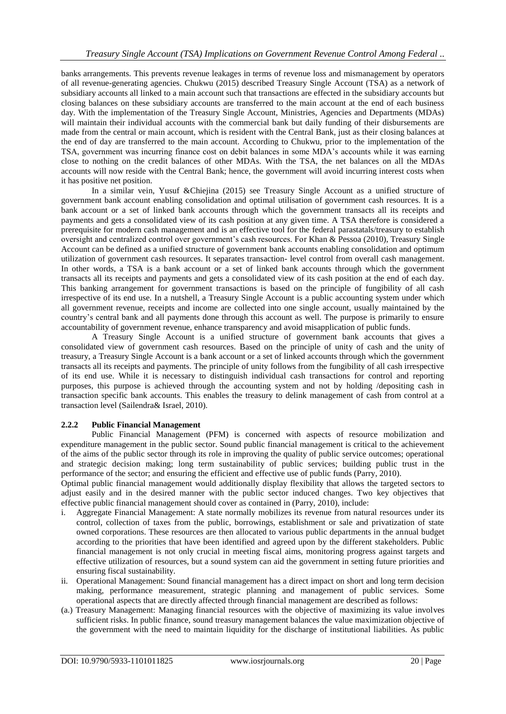banks arrangements. This prevents revenue leakages in terms of revenue loss and mismanagement by operators of all revenue-generating agencies. Chukwu (2015) described Treasury Single Account (TSA) as a network of subsidiary accounts all linked to a main account such that transactions are effected in the subsidiary accounts but closing balances on these subsidiary accounts are transferred to the main account at the end of each business day. With the implementation of the Treasury Single Account, Ministries, Agencies and Departments (MDAs) will maintain their individual accounts with the commercial bank but daily funding of their disbursements are made from the central or main account, which is resident with the Central Bank, just as their closing balances at the end of day are transferred to the main account. According to Chukwu, prior to the implementation of the TSA, government was incurring finance cost on debit balances in some MDA's accounts while it was earning close to nothing on the credit balances of other MDAs. With the TSA, the net balances on all the MDAs accounts will now reside with the Central Bank; hence, the government will avoid incurring interest costs when it has positive net position.

In a similar vein, Yusuf &Chiejina (2015) see Treasury Single Account as a unified structure of government bank account enabling consolidation and optimal utilisation of government cash resources. It is a bank account or a set of linked bank accounts through which the government transacts all its receipts and payments and gets a consolidated view of its cash position at any given time. A TSA therefore is considered a prerequisite for modern cash management and is an effective tool for the federal parastatals/treasury to establish oversight and centralized control over government's cash resources. For Khan & Pessoa (2010), Treasury Single Account can be defined as a unified structure of government bank accounts enabling consolidation and optimum utilization of government cash resources. It separates transaction- level control from overall cash management. In other words, a TSA is a bank account or a set of linked bank accounts through which the government transacts all its receipts and payments and gets a consolidated view of its cash position at the end of each day. This banking arrangement for government transactions is based on the principle of fungibility of all cash irrespective of its end use. In a nutshell, a Treasury Single Account is a public accounting system under which all government revenue, receipts and income are collected into one single account, usually maintained by the country's central bank and all payments done through this account as well. The purpose is primarily to ensure accountability of government revenue, enhance transparency and avoid misapplication of public funds.

A Treasury Single Account is a unified structure of government bank accounts that gives a consolidated view of government cash resources. Based on the principle of unity of cash and the unity of treasury, a Treasury Single Account is a bank account or a set of linked accounts through which the government transacts all its receipts and payments. The principle of unity follows from the fungibility of all cash irrespective of its end use. While it is necessary to distinguish individual cash transactions for control and reporting purposes, this purpose is achieved through the accounting system and not by holding /depositing cash in transaction specific bank accounts. This enables the treasury to delink management of cash from control at a transaction level (Sailendra& Israel, 2010).

## **2.2.2 Public Financial Management**

Public Financial Management (PFM) is concerned with aspects of resource mobilization and expenditure management in the public sector. Sound public financial management is critical to the achievement of the aims of the public sector through its role in improving the quality of public service outcomes; operational and strategic decision making; long term sustainability of public services; building public trust in the performance of the sector; and ensuring the efficient and effective use of public funds (Parry, 2010).

Optimal public financial management would additionally display flexibility that allows the targeted sectors to adjust easily and in the desired manner with the public sector induced changes. Two key objectives that effective public financial management should cover as contained in (Parry, 2010), include:

- i. Aggregate Financial Management: A state normally mobilizes its revenue from natural resources under its control, collection of taxes from the public, borrowings, establishment or sale and privatization of state owned corporations. These resources are then allocated to various public departments in the annual budget according to the priorities that have been identified and agreed upon by the different stakeholders. Public financial management is not only crucial in meeting fiscal aims, monitoring progress against targets and effective utilization of resources, but a sound system can aid the government in setting future priorities and ensuring fiscal sustainability.
- ii. Operational Management: Sound financial management has a direct impact on short and long term decision making, performance measurement, strategic planning and management of public services. Some operational aspects that are directly affected through financial management are described as follows:
- (a.) Treasury Management: Managing financial resources with the objective of maximizing its value involves sufficient risks. In public finance, sound treasury management balances the value maximization objective of the government with the need to maintain liquidity for the discharge of institutional liabilities. As public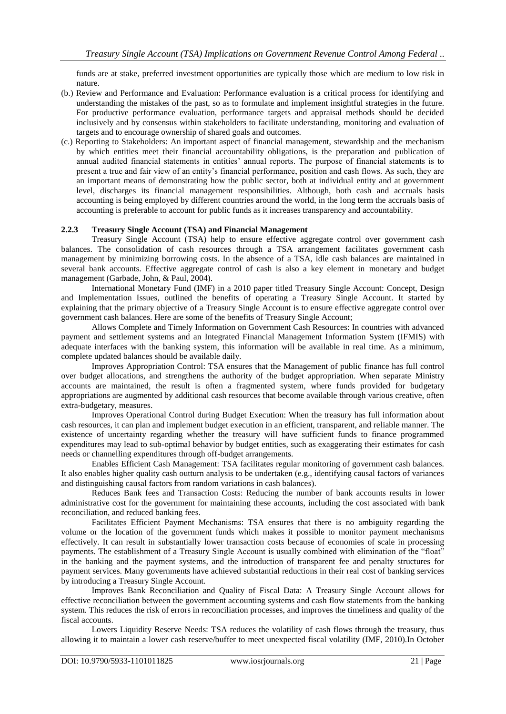funds are at stake, preferred investment opportunities are typically those which are medium to low risk in nature.

- (b.) Review and Performance and Evaluation: Performance evaluation is a critical process for identifying and understanding the mistakes of the past, so as to formulate and implement insightful strategies in the future. For productive performance evaluation, performance targets and appraisal methods should be decided inclusively and by consensus within stakeholders to facilitate understanding, monitoring and evaluation of targets and to encourage ownership of shared goals and outcomes.
- (c.) Reporting to Stakeholders: An important aspect of financial management, stewardship and the mechanism by which entities meet their financial accountability obligations, is the preparation and publication of annual audited financial statements in entities' annual reports. The purpose of financial statements is to present a true and fair view of an entity's financial performance, position and cash flows. As such, they are an important means of demonstrating how the public sector, both at individual entity and at government level, discharges its financial management responsibilities. Although, both cash and accruals basis accounting is being employed by different countries around the world, in the long term the accruals basis of accounting is preferable to account for public funds as it increases transparency and accountability.

## **2.2.3 Treasury Single Account (TSA) and Financial Management**

Treasury Single Account (TSA) help to ensure effective aggregate control over government cash balances. The consolidation of cash resources through a TSA arrangement facilitates government cash management by minimizing borrowing costs. In the absence of a TSA, idle cash balances are maintained in several bank accounts. Effective aggregate control of cash is also a key element in monetary and budget management (Garbade, John, & Paul, 2004).

International Monetary Fund (IMF) in a 2010 paper titled Treasury Single Account: Concept, Design and Implementation Issues, outlined the benefits of operating a Treasury Single Account. It started by explaining that the primary objective of a Treasury Single Account is to ensure effective aggregate control over government cash balances. Here are some of the benefits of Treasury Single Account;

Allows Complete and Timely Information on Government Cash Resources: In countries with advanced payment and settlement systems and an Integrated Financial Management Information System (IFMIS) with adequate interfaces with the banking system, this information will be available in real time. As a minimum, complete updated balances should be available daily.

Improves Appropriation Control: TSA ensures that the Management of public finance has full control over budget allocations, and strengthens the authority of the budget appropriation. When separate Ministry accounts are maintained, the result is often a fragmented system, where funds provided for budgetary appropriations are augmented by additional cash resources that become available through various creative, often extra-budgetary, measures.

Improves Operational Control during Budget Execution: When the treasury has full information about cash resources, it can plan and implement budget execution in an efficient, transparent, and reliable manner. The existence of uncertainty regarding whether the treasury will have sufficient funds to finance programmed expenditures may lead to sub-optimal behavior by budget entities, such as exaggerating their estimates for cash needs or channelling expenditures through off-budget arrangements.

Enables Efficient Cash Management: TSA facilitates regular monitoring of government cash balances. It also enables higher quality cash outturn analysis to be undertaken (e.g., identifying causal factors of variances and distinguishing causal factors from random variations in cash balances).

Reduces Bank fees and Transaction Costs: Reducing the number of bank accounts results in lower administrative cost for the government for maintaining these accounts, including the cost associated with bank reconciliation, and reduced banking fees.

Facilitates Efficient Payment Mechanisms: TSA ensures that there is no ambiguity regarding the volume or the location of the government funds which makes it possible to monitor payment mechanisms effectively. It can result in substantially lower transaction costs because of economies of scale in processing payments. The establishment of a Treasury Single Account is usually combined with elimination of the "float" in the banking and the payment systems, and the introduction of transparent fee and penalty structures for payment services. Many governments have achieved substantial reductions in their real cost of banking services by introducing a Treasury Single Account.

Improves Bank Reconciliation and Quality of Fiscal Data: A Treasury Single Account allows for effective reconciliation between the government accounting systems and cash flow statements from the banking system. This reduces the risk of errors in reconciliation processes, and improves the timeliness and quality of the fiscal accounts.

Lowers Liquidity Reserve Needs: TSA reduces the volatility of cash flows through the treasury, thus allowing it to maintain a lower cash reserve/buffer to meet unexpected fiscal volatility (IMF, 2010).In October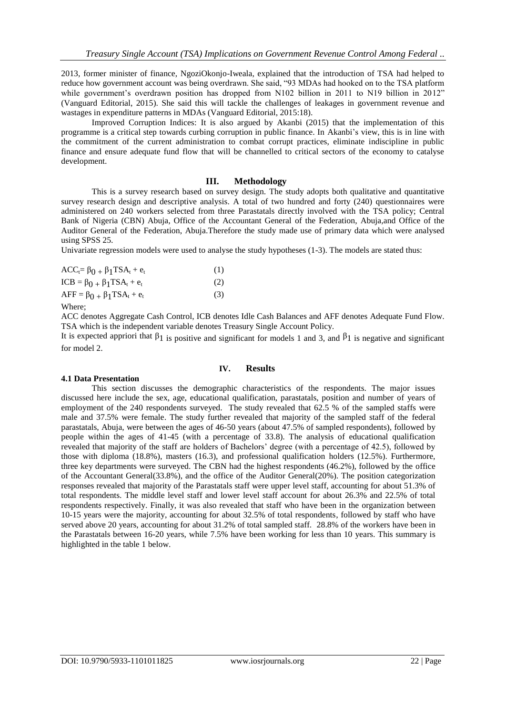2013, former minister of finance, NgoziOkonjo-Iweala, explained that the introduction of TSA had helped to reduce how government account was being overdrawn. She said, "93 MDAs had hooked on to the TSA platform while government's overdrawn position has dropped from N102 billion in 2011 to N19 billion in 2012" (Vanguard Editorial, 2015). She said this will tackle the challenges of leakages in government revenue and wastages in expenditure patterns in MDAs (Vanguard Editorial, 2015:18).

Improved Corruption Indices: It is also argued by Akanbi (2015) that the implementation of this programme is a critical step towards curbing corruption in public finance. In Akanbi's view, this is in line with the commitment of the current administration to combat corrupt practices, eliminate indiscipline in public finance and ensure adequate fund flow that will be channelled to critical sectors of the economy to catalyse development.

#### **III. Methodology**

This is a survey research based on survey design. The study adopts both qualitative and quantitative survey research design and descriptive analysis. A total of two hundred and forty (240) questionnaires were administered on 240 workers selected from three Parastatals directly involved with the TSA policy; Central Bank of Nigeria (CBN) Abuja, Office of the Accountant General of the Federation, Abuja,and Office of the Auditor General of the Federation, Abuja.Therefore the study made use of primary data which were analysed using SPSS 25.

Univariate regression models were used to analyse the study hypotheses (1-3). The models are stated thus:

| $ACC_t = \beta_0 + \beta_1 TSA_t + e_t$ | (1) |
|-----------------------------------------|-----|
| $ICB = \beta_0 + \beta_1 TSA_t + e_t$   | (2) |
| $AFF = \beta_0 + \beta_1 TSA_t + e_t$   | (3) |
|                                         |     |

Where;

ACC denotes Aggregate Cash Control, ICB denotes Idle Cash Balances and AFF denotes Adequate Fund Flow. TSA which is the independent variable denotes Treasury Single Account Policy.

It is expected appriori that  $\beta_1$  is positive and significant for models 1 and 3, and  $\beta_1$  is negative and significant for model 2.

#### **IV. Results**

#### **4.1 Data Presentation**

This section discusses the demographic characteristics of the respondents. The major issues discussed here include the sex, age, educational qualification, parastatals, position and number of years of employment of the 240 respondents surveyed. The study revealed that 62.5 % of the sampled staffs were male and 37.5% were female. The study further revealed that majority of the sampled staff of the federal parastatals, Abuja, were between the ages of 46-50 years (about 47.5% of sampled respondents), followed by people within the ages of 41-45 (with a percentage of 33.8). The analysis of educational qualification revealed that majority of the staff are holders of Bachelors' degree (with a percentage of 42.5), followed by those with diploma (18.8%), masters (16.3), and professional qualification holders (12.5%). Furthermore, three key departments were surveyed. The CBN had the highest respondents (46.2%), followed by the office of the Accountant General(33.8%), and the office of the Auditor General(20%). The position categorization responses revealed that majority of the Parastatals staff were upper level staff, accounting for about 51.3% of total respondents. The middle level staff and lower level staff account for about 26.3% and 22.5% of total respondents respectively. Finally, it was also revealed that staff who have been in the organization between 10-15 years were the majority, accounting for about 32.5% of total respondents, followed by staff who have served above 20 years, accounting for about 31.2% of total sampled staff. 28.8% of the workers have been in the Parastatals between 16-20 years, while 7.5% have been working for less than 10 years. This summary is highlighted in the table 1 below.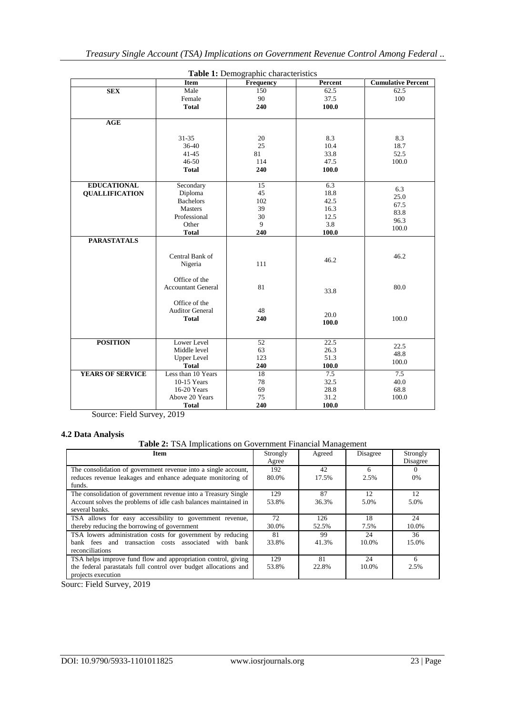| Frequency<br>Percent<br><b>Item</b><br>Male<br><b>SEX</b><br>150<br>62.5<br>90<br>Female<br>37.5<br><b>Total</b><br>240<br>100.0<br>AGE<br>31-35<br>20<br>8.3<br>25<br>$36-40$<br>10.4<br>$41 - 45$<br>81<br>33.8<br>47.5<br>$46 - 50$<br>114<br><b>Total</b><br>240<br>100.0<br><b>EDUCATIONAL</b><br>Secondary<br>15<br>6.3<br>45<br>18.8<br><b>QUALLIFICATION</b><br>Diploma<br>25.0<br><b>Bachelors</b><br>102<br>42.5<br>67.5<br>Masters<br>39<br>16.3<br>83.8<br>30<br>Professional<br>12.5<br>96.3<br>Other<br>9<br>3.8<br>100.0<br><b>Total</b><br>240<br>100.0<br><b>PARASTATALS</b><br>Central Bank of<br>46.2<br>111<br>Nigeria<br>Office of the<br><b>Accountant General</b><br>81<br>80.0<br>33.8<br>Office of the<br><b>Auditor General</b><br>48<br>20.0<br><b>Total</b><br>240<br>100.0<br>100.0<br><b>POSITION</b><br>Lower Level<br>52<br>22.5<br>Middle level<br>63<br>26.3<br>123<br><b>Upper Level</b><br>51.3 | <b>Cumulative Percent</b> |
|-------------------------------------------------------------------------------------------------------------------------------------------------------------------------------------------------------------------------------------------------------------------------------------------------------------------------------------------------------------------------------------------------------------------------------------------------------------------------------------------------------------------------------------------------------------------------------------------------------------------------------------------------------------------------------------------------------------------------------------------------------------------------------------------------------------------------------------------------------------------------------------------------------------------------------------|---------------------------|
|                                                                                                                                                                                                                                                                                                                                                                                                                                                                                                                                                                                                                                                                                                                                                                                                                                                                                                                                     | 62.5                      |
|                                                                                                                                                                                                                                                                                                                                                                                                                                                                                                                                                                                                                                                                                                                                                                                                                                                                                                                                     | 100                       |
|                                                                                                                                                                                                                                                                                                                                                                                                                                                                                                                                                                                                                                                                                                                                                                                                                                                                                                                                     |                           |
|                                                                                                                                                                                                                                                                                                                                                                                                                                                                                                                                                                                                                                                                                                                                                                                                                                                                                                                                     |                           |
|                                                                                                                                                                                                                                                                                                                                                                                                                                                                                                                                                                                                                                                                                                                                                                                                                                                                                                                                     |                           |
|                                                                                                                                                                                                                                                                                                                                                                                                                                                                                                                                                                                                                                                                                                                                                                                                                                                                                                                                     |                           |
|                                                                                                                                                                                                                                                                                                                                                                                                                                                                                                                                                                                                                                                                                                                                                                                                                                                                                                                                     | 8.3                       |
|                                                                                                                                                                                                                                                                                                                                                                                                                                                                                                                                                                                                                                                                                                                                                                                                                                                                                                                                     | 18.7                      |
|                                                                                                                                                                                                                                                                                                                                                                                                                                                                                                                                                                                                                                                                                                                                                                                                                                                                                                                                     | 52.5                      |
|                                                                                                                                                                                                                                                                                                                                                                                                                                                                                                                                                                                                                                                                                                                                                                                                                                                                                                                                     | 100.0                     |
|                                                                                                                                                                                                                                                                                                                                                                                                                                                                                                                                                                                                                                                                                                                                                                                                                                                                                                                                     |                           |
|                                                                                                                                                                                                                                                                                                                                                                                                                                                                                                                                                                                                                                                                                                                                                                                                                                                                                                                                     |                           |
|                                                                                                                                                                                                                                                                                                                                                                                                                                                                                                                                                                                                                                                                                                                                                                                                                                                                                                                                     | 6.3                       |
|                                                                                                                                                                                                                                                                                                                                                                                                                                                                                                                                                                                                                                                                                                                                                                                                                                                                                                                                     |                           |
|                                                                                                                                                                                                                                                                                                                                                                                                                                                                                                                                                                                                                                                                                                                                                                                                                                                                                                                                     |                           |
|                                                                                                                                                                                                                                                                                                                                                                                                                                                                                                                                                                                                                                                                                                                                                                                                                                                                                                                                     |                           |
|                                                                                                                                                                                                                                                                                                                                                                                                                                                                                                                                                                                                                                                                                                                                                                                                                                                                                                                                     |                           |
|                                                                                                                                                                                                                                                                                                                                                                                                                                                                                                                                                                                                                                                                                                                                                                                                                                                                                                                                     |                           |
|                                                                                                                                                                                                                                                                                                                                                                                                                                                                                                                                                                                                                                                                                                                                                                                                                                                                                                                                     |                           |
|                                                                                                                                                                                                                                                                                                                                                                                                                                                                                                                                                                                                                                                                                                                                                                                                                                                                                                                                     |                           |
|                                                                                                                                                                                                                                                                                                                                                                                                                                                                                                                                                                                                                                                                                                                                                                                                                                                                                                                                     |                           |
|                                                                                                                                                                                                                                                                                                                                                                                                                                                                                                                                                                                                                                                                                                                                                                                                                                                                                                                                     | 46.2                      |
|                                                                                                                                                                                                                                                                                                                                                                                                                                                                                                                                                                                                                                                                                                                                                                                                                                                                                                                                     |                           |
|                                                                                                                                                                                                                                                                                                                                                                                                                                                                                                                                                                                                                                                                                                                                                                                                                                                                                                                                     |                           |
|                                                                                                                                                                                                                                                                                                                                                                                                                                                                                                                                                                                                                                                                                                                                                                                                                                                                                                                                     |                           |
|                                                                                                                                                                                                                                                                                                                                                                                                                                                                                                                                                                                                                                                                                                                                                                                                                                                                                                                                     |                           |
|                                                                                                                                                                                                                                                                                                                                                                                                                                                                                                                                                                                                                                                                                                                                                                                                                                                                                                                                     |                           |
|                                                                                                                                                                                                                                                                                                                                                                                                                                                                                                                                                                                                                                                                                                                                                                                                                                                                                                                                     |                           |
|                                                                                                                                                                                                                                                                                                                                                                                                                                                                                                                                                                                                                                                                                                                                                                                                                                                                                                                                     |                           |
|                                                                                                                                                                                                                                                                                                                                                                                                                                                                                                                                                                                                                                                                                                                                                                                                                                                                                                                                     |                           |
|                                                                                                                                                                                                                                                                                                                                                                                                                                                                                                                                                                                                                                                                                                                                                                                                                                                                                                                                     |                           |
|                                                                                                                                                                                                                                                                                                                                                                                                                                                                                                                                                                                                                                                                                                                                                                                                                                                                                                                                     |                           |
|                                                                                                                                                                                                                                                                                                                                                                                                                                                                                                                                                                                                                                                                                                                                                                                                                                                                                                                                     | 22.5                      |
|                                                                                                                                                                                                                                                                                                                                                                                                                                                                                                                                                                                                                                                                                                                                                                                                                                                                                                                                     | 48.8                      |
| <b>Total</b><br>240<br>100.0                                                                                                                                                                                                                                                                                                                                                                                                                                                                                                                                                                                                                                                                                                                                                                                                                                                                                                        | 100.0                     |
| <b>YEARS OF SERVICE</b><br>Less than 10 Years<br>7.5<br>18                                                                                                                                                                                                                                                                                                                                                                                                                                                                                                                                                                                                                                                                                                                                                                                                                                                                          | 7.5                       |
| 10-15 Years<br>78<br>32.5                                                                                                                                                                                                                                                                                                                                                                                                                                                                                                                                                                                                                                                                                                                                                                                                                                                                                                           | 40.0                      |
| 16-20 Years<br>69<br>28.8                                                                                                                                                                                                                                                                                                                                                                                                                                                                                                                                                                                                                                                                                                                                                                                                                                                                                                           | 68.8                      |
| Above 20 Years<br>75<br>31.2                                                                                                                                                                                                                                                                                                                                                                                                                                                                                                                                                                                                                                                                                                                                                                                                                                                                                                        | 100.0                     |
| 240<br>100.0<br><b>Total</b>                                                                                                                                                                                                                                                                                                                                                                                                                                                                                                                                                                                                                                                                                                                                                                                                                                                                                                        |                           |

Source: Field Survey, 2019

## **4.2 Data Analysis**

## **Table 2:** TSA Implications on Government Financial Management

| <b>Item</b>                                                                                                                                             | Strongly<br>Agree | Agreed       | Disagree    | Strongly<br>Disagree |
|---------------------------------------------------------------------------------------------------------------------------------------------------------|-------------------|--------------|-------------|----------------------|
| The consolidation of government revenue into a single account,<br>reduces revenue leakages and enhance adequate monitoring of<br>funds.                 | 192<br>80.0%      | 42<br>17.5%  | 6<br>2.5%   | $\Omega$<br>0%       |
| The consolidation of government revenue into a Treasury Single<br>Account solves the problems of idle cash balances maintained in<br>several banks.     | 129<br>53.8%      | 87<br>36.3%  | 12<br>5.0%  | 12<br>5.0%           |
| TSA allows for easy accessibility to government revenue,<br>thereby reducing the borrowing of government                                                | 72<br>30.0%       | 126<br>52.5% | 18<br>7.5%  | 24<br>10.0%          |
| TSA lowers administration costs for government by reducing<br>bank fees and transaction costs associated with bank<br>reconciliations                   | 81<br>33.8%       | 99<br>41.3%  | 24<br>10.0% | 36<br>15.0%          |
| TSA helps improve fund flow and appropriation control, giving<br>the federal parastatals full control over budget allocations and<br>projects execution | 129<br>53.8%      | 81<br>22.8%  | 24<br>10.0% | 6<br>2.5%            |

Sourc: Field Survey, 2019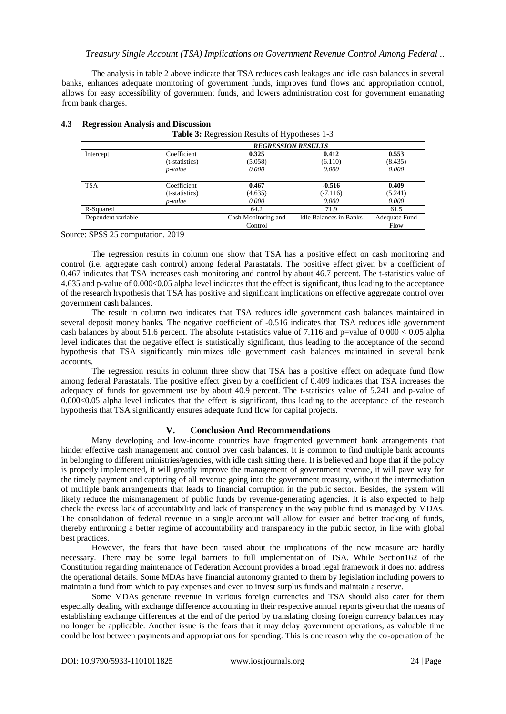The analysis in table 2 above indicate that TSA reduces cash leakages and idle cash balances in several banks, enhances adequate monitoring of government funds, improves fund flows and appropriation control, allows for easy accessibility of government funds, and lowers administration cost for government emanating from bank charges.

|                    | <b>REGRESSION RESULTS</b>                |                                |                                 |                           |  |
|--------------------|------------------------------------------|--------------------------------|---------------------------------|---------------------------|--|
| Intercept          | Coefficient<br>(t-statistics)<br>p-value | 0.325<br>(5.058)<br>0.000      | 0.412<br>(6.110)<br>0.000       | 0.553<br>(8.435)<br>0.000 |  |
| <b>TSA</b>         | Coefficient<br>(t-statistics)<br>p-value | 0.467<br>(4.635)<br>0.000      | $-0.516$<br>$(-7.116)$<br>0.000 | 0.409<br>(5.241)<br>0.000 |  |
| R-Squared          |                                          | 64.2                           | 71.9                            | 61.5                      |  |
| Dependent variable |                                          | Cash Monitoring and<br>Control | <b>Idle Balances in Banks</b>   | Adequate Fund<br>Flow     |  |

#### **4.3 Regression Analysis and Discussion**

**Table 3:** Regression Results of Hypotheses 1-3

Source: SPSS 25 computation, 2019

The regression results in column one show that TSA has a positive effect on cash monitoring and control (i.e. aggregate cash control) among federal Parastatals. The positive effect given by a coefficient of 0.467 indicates that TSA increases cash monitoring and control by about 46.7 percent. The t-statistics value of 4.635 and p-value of 0.000<0.05 alpha level indicates that the effect is significant, thus leading to the acceptance of the research hypothesis that TSA has positive and significant implications on effective aggregate control over government cash balances.

The result in column two indicates that TSA reduces idle government cash balances maintained in several deposit money banks. The negative coefficient of -0.516 indicates that TSA reduces idle government cash balances by about 51.6 percent. The absolute t-statistics value of 7.116 and p=value of  $0.000 < 0.05$  alpha level indicates that the negative effect is statistically significant, thus leading to the acceptance of the second hypothesis that TSA significantly minimizes idle government cash balances maintained in several bank accounts.

The regression results in column three show that TSA has a positive effect on adequate fund flow among federal Parastatals. The positive effect given by a coefficient of 0.409 indicates that TSA increases the adequacy of funds for government use by about 40.9 percent. The t-statistics value of 5.241 and p-value of 0.000<0.05 alpha level indicates that the effect is significant, thus leading to the acceptance of the research hypothesis that TSA significantly ensures adequate fund flow for capital projects.

## **V. Conclusion And Recommendations**

Many developing and low-income countries have fragmented government bank arrangements that hinder effective cash management and control over cash balances. It is common to find multiple bank accounts in belonging to different ministries/agencies, with idle cash sitting there. It is believed and hope that if the policy is properly implemented, it will greatly improve the management of government revenue, it will pave way for the timely payment and capturing of all revenue going into the government treasury, without the intermediation of multiple bank arrangements that leads to financial corruption in the public sector. Besides, the system will likely reduce the mismanagement of public funds by revenue-generating agencies. It is also expected to help check the excess lack of accountability and lack of transparency in the way public fund is managed by MDAs. The consolidation of federal revenue in a single account will allow for easier and better tracking of funds, thereby enthroning a better regime of accountability and transparency in the public sector, in line with global best practices.

However, the fears that have been raised about the implications of the new measure are hardly necessary. There may be some legal barriers to full implementation of TSA. While Section162 of the Constitution regarding maintenance of Federation Account provides a broad legal framework it does not address the operational details. Some MDAs have financial autonomy granted to them by legislation including powers to maintain a fund from which to pay expenses and even to invest surplus funds and maintain a reserve.

Some MDAs generate revenue in various foreign currencies and TSA should also cater for them especially dealing with exchange difference accounting in their respective annual reports given that the means of establishing exchange differences at the end of the period by translating closing foreign currency balances may no longer be applicable. Another issue is the fears that it may delay government operations, as valuable time could be lost between payments and appropriations for spending. This is one reason why the co-operation of the